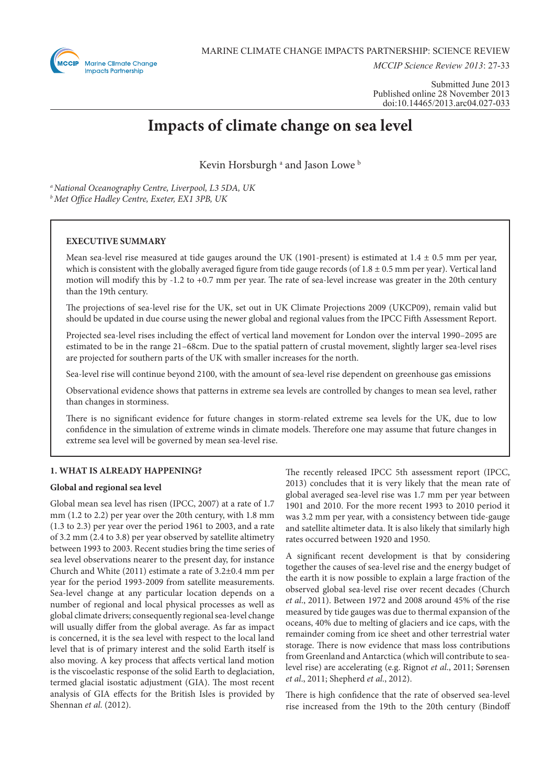

*MCCIP Science Review 2013*: 27-33

Submitted June 2013 Published online 28 November 2013 doi:10.14465/2013.arc04.027-033

# **Impacts of climate change on sea level**

Kevin Horsburgh<sup>a</sup> and Jason Lowe<sup>b</sup>

*a National Oceanography Centre, Liverpool, L3 5DA, UK b Met Office Hadley Centre, Exeter, EX1 3PB, UK*

# **EXECUTIVE SUMMARY**

Mean sea-level rise measured at tide gauges around the UK (1901-present) is estimated at  $1.4 \pm 0.5$  mm per year, which is consistent with the globally averaged figure from tide gauge records (of  $1.8 \pm 0.5$  mm per year). Vertical land motion will modify this by -1.2 to +0.7 mm per year. The rate of sea-level increase was greater in the 20th century than the 19th century.

The projections of sea-level rise for the UK, set out in UK Climate Projections 2009 (UKCP09), remain valid but should be updated in due course using the newer global and regional values from the IPCC Fifth Assessment Report.

Projected sea-level rises including the effect of vertical land movement for London over the interval 1990–2095 are estimated to be in the range 21–68cm. Due to the spatial pattern of crustal movement, slightly larger sea-level rises are projected for southern parts of the UK with smaller increases for the north.

Sea-level rise will continue beyond 2100, with the amount of sea-level rise dependent on greenhouse gas emissions

Observational evidence shows that patterns in extreme sea levels are controlled by changes to mean sea level, rather than changes in storminess.

There is no significant evidence for future changes in storm-related extreme sea levels for the UK, due to low confidence in the simulation of extreme winds in climate models. Therefore one may assume that future changes in extreme sea level will be governed by mean sea-level rise.

# **1. WHAT IS ALREADY HAPPENING?**

# **Global and regional sea level**

Global mean sea level has risen (IPCC, 2007) at a rate of 1.7 mm (1.2 to 2.2) per year over the 20th century, with 1.8 mm (1.3 to 2.3) per year over the period 1961 to 2003, and a rate of 3.2 mm (2.4 to 3.8) per year observed by satellite altimetry between 1993 to 2003. Recent studies bring the time series of sea level observations nearer to the present day, for instance Church and White (2011) estimate a rate of 3.2±0.4 mm per year for the period 1993-2009 from satellite measurements. Sea-level change at any particular location depends on a number of regional and local physical processes as well as global climate drivers; consequently regional sea-level change will usually differ from the global average. As far as impact is concerned, it is the sea level with respect to the local land level that is of primary interest and the solid Earth itself is also moving. A key process that affects vertical land motion is the viscoelastic response of the solid Earth to deglaciation, termed glacial isostatic adjustment (GIA). The most recent analysis of GIA effects for the British Isles is provided by Shennan *et al*. (2012).

The recently released IPCC 5th assessment report (IPCC, 2013) concludes that it is very likely that the mean rate of global averaged sea-level rise was 1.7 mm per year between 1901 and 2010. For the more recent 1993 to 2010 period it was 3.2 mm per year, with a consistency between tide-gauge and satellite altimeter data. It is also likely that similarly high rates occurred between 1920 and 1950.

A significant recent development is that by considering together the causes of sea-level rise and the energy budget of the earth it is now possible to explain a large fraction of the observed global sea-level rise over recent decades (Church *et al*., 2011). Between 1972 and 2008 around 45% of the rise measured by tide gauges was due to thermal expansion of the oceans, 40% due to melting of glaciers and ice caps, with the remainder coming from ice sheet and other terrestrial water storage. There is now evidence that mass loss contributions from Greenland and Antarctica (which will contribute to sealevel rise) are accelerating (e.g. Rignot *et al*., 2011; Sørensen *et al*., 2011; Shepherd *et al*., 2012).

There is high confidence that the rate of observed sea-level rise increased from the 19th to the 20th century (Bindoff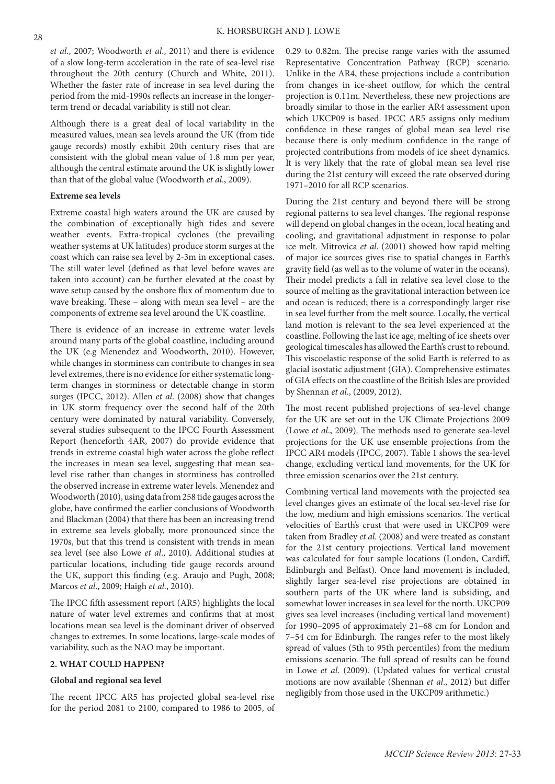*et al*., 2007; Woodworth *et al*., 2011) and there is evidence of a slow long-term acceleration in the rate of sea-level rise throughout the 20th century (Church and White, 2011). Whether the faster rate of increase in sea level during the period from the mid-1990s reflects an increase in the longerterm trend or decadal variability is still not clear.

Although there is a great deal of local variability in the measured values, mean sea levels around the UK (from tide gauge records) mostly exhibit 20th century rises that are consistent with the global mean value of 1.8 mm per year, although the central estimate around the UK is slightly lower than that of the global value (Woodworth *et al*., 2009).

## **Extreme sea levels**

Extreme coastal high waters around the UK are caused by the combination of exceptionally high tides and severe weather events. Extra-tropical cyclones (the prevailing weather systems at UK latitudes) produce storm surges at the coast which can raise sea level by 2-3m in exceptional cases. The still water level (defined as that level before waves are taken into account) can be further elevated at the coast by wave setup caused by the onshore flux of momentum due to wave breaking. These – along with mean sea level – are the components of extreme sea level around the UK coastline.

There is evidence of an increase in extreme water levels around many parts of the global coastline, including around the UK (e.g Menendez and Woodworth, 2010). However, while changes in storminess can contribute to changes in sea level extremes, there is no evidence for either systematic longterm changes in storminess or detectable change in storm surges (IPCC, 2012). Allen *et al*. (2008) show that changes in UK storm frequency over the second half of the 20th century were dominated by natural variability. Conversely, several studies subsequent to the IPCC Fourth Assessment Report (henceforth 4AR, 2007) do provide evidence that trends in extreme coastal high water across the globe reflect the increases in mean sea level, suggesting that mean sealevel rise rather than changes in storminess has controlled the observed increase in extreme water levels. Menendez and Woodworth (2010), using data from 258 tide gauges across the globe, have confirmed the earlier conclusions of Woodworth and Blackman (2004) that there has been an increasing trend in extreme sea levels globally, more pronounced since the 1970s, but that this trend is consistent with trends in mean sea level (see also Lowe *et al*., 2010). Additional studies at particular locations, including tide gauge records around the UK, support this finding (e.g. Araujo and Pugh, 2008; Marcos *et al*., 2009; Haigh *et al*., 2010).

The IPCC fifth assessment report (AR5) highlights the local nature of water level extremes and confirms that at most locations mean sea level is the dominant driver of observed changes to extremes. In some locations, large-scale modes of variability, such as the NAO may be important.

### **2. WHAT COULD HAPPEN?**

### **Global and regional sea level**

The recent IPCC AR5 has projected global sea-level rise for the period 2081 to 2100, compared to 1986 to 2005, of

0.29 to 0.82m. The precise range varies with the assumed Representative Concentration Pathway (RCP) scenario. Unlike in the AR4, these projections include a contribution from changes in ice-sheet outflow, for which the central projection is 0.11m. Nevertheless, these new projections are broadly similar to those in the earlier AR4 assessment upon which UKCP09 is based. IPCC AR5 assigns only medium confidence in these ranges of global mean sea level rise because there is only medium confidence in the range of projected contributions from models of ice sheet dynamics. It is very likely that the rate of global mean sea level rise during the 21st century will exceed the rate observed during 1971–2010 for all RCP scenarios.

During the 21st century and beyond there will be strong regional patterns to sea level changes. The regional response will depend on global changes in the ocean, local heating and cooling, and gravitational adjustment in response to polar ice melt. Mitrovica *et al*. (2001) showed how rapid melting of major ice sources gives rise to spatial changes in Earth's gravity field (as well as to the volume of water in the oceans). Their model predicts a fall in relative sea level close to the source of melting as the gravitational interaction between ice and ocean is reduced; there is a correspondingly larger rise in sea level further from the melt source. Locally, the vertical land motion is relevant to the sea level experienced at the coastline. Following the last ice age, melting of ice sheets over geological timescales has allowed the Earth's crust to rebound. This viscoelastic response of the solid Earth is referred to as glacial isostatic adjustment (GIA). Comprehensive estimates of GIA effects on the coastline of the British Isles are provided by Shennan *et al*., (2009, 2012).

The most recent published projections of sea-level change for the UK are set out in the UK Climate Projections 2009 (Lowe *et al*., 2009). The methods used to generate sea-level projections for the UK use ensemble projections from the IPCC AR4 models (IPCC, 2007). Table 1 shows the sea-level change, excluding vertical land movements, for the UK for three emission scenarios over the 21st century.

Combining vertical land movements with the projected sea level changes gives an estimate of the local sea-level rise for the low, medium and high emissions scenarios. The vertical velocities of Earth's crust that were used in UKCP09 were taken from Bradley *et al*. (2008) and were treated as constant for the 21st century projections. Vertical land movement was calculated for four sample locations (London, Cardiff, Edinburgh and Belfast). Once land movement is included, slightly larger sea-level rise projections are obtained in southern parts of the UK where land is subsiding, and somewhat lower increases in sea level for the north. UKCP09 gives sea level increases (including vertical land movement) for 1990–2095 of approximately 21–68 cm for London and 7–54 cm for Edinburgh. The ranges refer to the most likely spread of values (5th to 95th percentiles) from the medium emissions scenario. The full spread of results can be found in Lowe *et al*. (2009). (Updated values for vertical crustal motions are now available (Shennan *et al*., 2012) but differ negligibly from those used in the UKCP09 arithmetic.)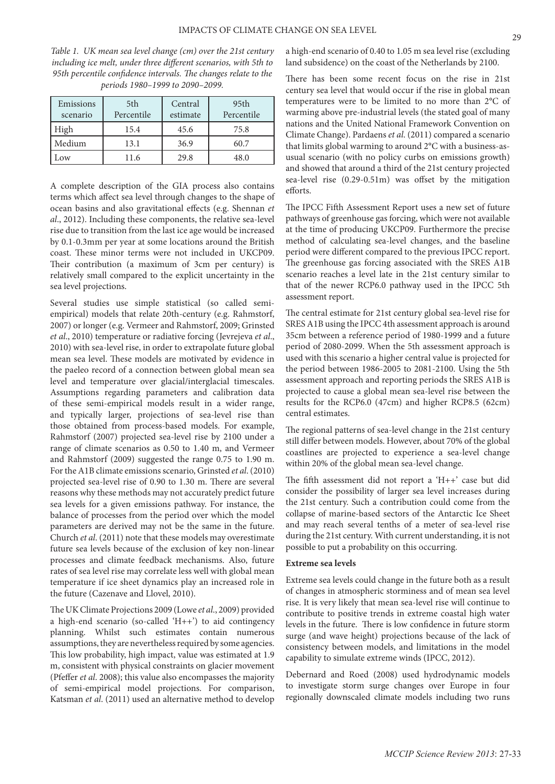*Table 1. UK mean sea level change (cm) over the 21st century including ice melt, under three different scenarios, with 5th to 95th percentile confidence intervals. The changes relate to the periods 1980–1999 to 2090–2099.*

| Emissions<br>scenario | 5th<br>Percentile | Central<br>estimate | 95 <sub>th</sub><br>Percentile |
|-----------------------|-------------------|---------------------|--------------------------------|
| High                  | 15.4              | 45.6                | 75.8                           |
| Medium                | 13.1              | 36.9                | 60.7                           |
| .ow                   | 11.6              | 29.8                | 48.0                           |

A complete description of the GIA process also contains terms which affect sea level through changes to the shape of ocean basins and also gravitational effects (e.g. Shennan *et al*., 2012). Including these components, the relative sea-level rise due to transition from the last ice age would be increased by 0.1-0.3mm per year at some locations around the British coast. These minor terms were not included in UKCP09. Their contribution (a maximum of 3cm per century) is relatively small compared to the explicit uncertainty in the sea level projections.

Several studies use simple statistical (so called semiempirical) models that relate 20th-century (e.g. Rahmstorf, 2007) or longer (e.g. Vermeer and Rahmstorf, 2009; Grinsted *et al*., 2010) temperature or radiative forcing (Jevrejeva *et al*., 2010) with sea-level rise, in order to extrapolate future global mean sea level. These models are motivated by evidence in the paeleo record of a connection between global mean sea level and temperature over glacial/interglacial timescales. Assumptions regarding parameters and calibration data of these semi-empirical models result in a wider range, and typically larger, projections of sea-level rise than those obtained from process-based models. For example, Rahmstorf (2007) projected sea-level rise by 2100 under a range of climate scenarios as 0.50 to 1.40 m, and Vermeer and Rahmstorf (2009) suggested the range 0.75 to 1.90 m. For the A1B climate emissions scenario, Grinsted *et al*. (2010) projected sea-level rise of 0.90 to 1.30 m. There are several reasons why these methods may not accurately predict future sea levels for a given emissions pathway. For instance, the balance of processes from the period over which the model parameters are derived may not be the same in the future. Church *et al*. (2011) note that these models may overestimate future sea levels because of the exclusion of key non-linear processes and climate feedback mechanisms. Also, future rates of sea level rise may correlate less well with global mean temperature if ice sheet dynamics play an increased role in the future (Cazenave and Llovel, 2010).

The UK Climate Projections 2009 (Lowe *et al*., 2009) provided a high-end scenario (so-called  $(H++')$ ) to aid contingency planning. Whilst such estimates contain numerous assumptions, they are nevertheless required by some agencies. This low probability, high impact, value was estimated at 1.9 m, consistent with physical constraints on glacier movement (Pfeffer *et al*. 2008); this value also encompasses the majority of semi-empirical model projections. For comparison, Katsman *et al*. (2011) used an alternative method to develop

a high-end scenario of 0.40 to 1.05 m sea level rise (excluding land subsidence) on the coast of the Netherlands by 2100.

There has been some recent focus on the rise in 21st century sea level that would occur if the rise in global mean temperatures were to be limited to no more than 2°C of warming above pre-industrial levels (the stated goal of many nations and the United National Framework Convention on Climate Change). Pardaens *et al*. (2011) compared a scenario that limits global warming to around 2°C with a business-asusual scenario (with no policy curbs on emissions growth) and showed that around a third of the 21st century projected sea-level rise (0.29-0.51m) was offset by the mitigation efforts.

The IPCC Fifth Assessment Report uses a new set of future pathways of greenhouse gas forcing, which were not available at the time of producing UKCP09. Furthermore the precise method of calculating sea-level changes, and the baseline period were different compared to the previous IPCC report. The greenhouse gas forcing associated with the SRES A1B scenario reaches a level late in the 21st century similar to that of the newer RCP6.0 pathway used in the IPCC 5th assessment report.

The central estimate for 21st century global sea-level rise for SRES A1B using the IPCC 4th assessment approach is around 35cm between a reference period of 1980-1999 and a future period of 2080-2099. When the 5th assessment approach is used with this scenario a higher central value is projected for the period between 1986-2005 to 2081-2100. Using the 5th assessment approach and reporting periods the SRES A1B is projected to cause a global mean sea-level rise between the results for the RCP6.0 (47cm) and higher RCP8.5 (62cm) central estimates.

The regional patterns of sea-level change in the 21st century still differ between models. However, about 70% of the global coastlines are projected to experience a sea-level change within 20% of the global mean sea-level change.

The fifth assessment did not report a 'H++' case but did consider the possibility of larger sea level increases during the 21st century. Such a contribution could come from the collapse of marine-based sectors of the Antarctic Ice Sheet and may reach several tenths of a meter of sea-level rise during the 21st century. With current understanding, it is not possible to put a probability on this occurring.

#### **Extreme sea levels**

Extreme sea levels could change in the future both as a result of changes in atmospheric storminess and of mean sea level rise. It is very likely that mean sea-level rise will continue to contribute to positive trends in extreme coastal high water levels in the future. There is low confidence in future storm surge (and wave height) projections because of the lack of consistency between models, and limitations in the model capability to simulate extreme winds (IPCC, 2012).

Debernard and Roed (2008) used hydrodynamic models to investigate storm surge changes over Europe in four regionally downscaled climate models including two runs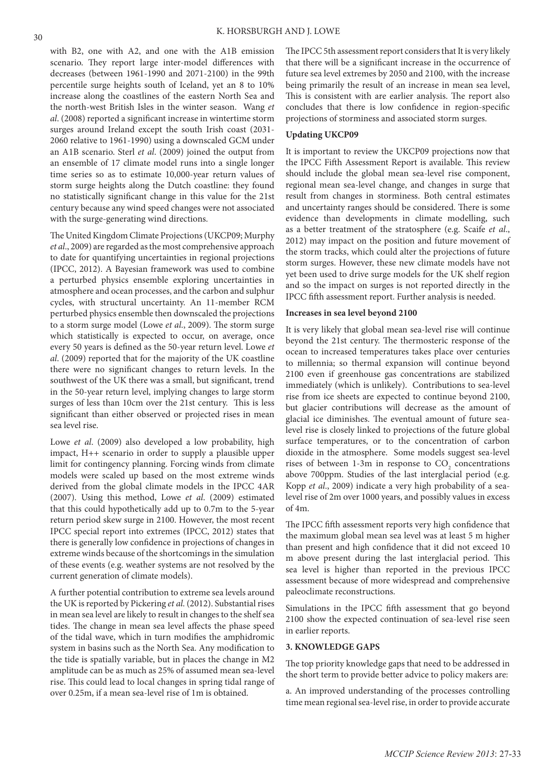with B2, one with A2, and one with the A1B emission scenario. They report large inter-model differences with decreases (between 1961-1990 and 2071-2100) in the 99th percentile surge heights south of Iceland, yet an 8 to 10% increase along the coastlines of the eastern North Sea and the north-west British Isles in the winter season. Wang *et al*. (2008) reported a significant increase in wintertime storm surges around Ireland except the south Irish coast (2031- 2060 relative to 1961-1990) using a downscaled GCM under an A1B scenario. Sterl *et al*. (2009) joined the output from an ensemble of 17 climate model runs into a single longer time series so as to estimate 10,000-year return values of storm surge heights along the Dutch coastline: they found no statistically significant change in this value for the 21st century because any wind speed changes were not associated with the surge-generating wind directions.

The United Kingdom Climate Projections (UKCP09; Murphy *et al*., 2009) are regarded as the most comprehensive approach to date for quantifying uncertainties in regional projections (IPCC, 2012). A Bayesian framework was used to combine a perturbed physics ensemble exploring uncertainties in atmosphere and ocean processes, and the carbon and sulphur cycles, with structural uncertainty. An 11-member RCM perturbed physics ensemble then downscaled the projections to a storm surge model (Lowe *et al*., 2009). The storm surge which statistically is expected to occur, on average, once every 50 years is defined as the 50-year return level. Lowe *et al*. (2009) reported that for the majority of the UK coastline there were no significant changes to return levels. In the southwest of the UK there was a small, but significant, trend in the 50-year return level, implying changes to large storm surges of less than 10cm over the 21st century. This is less significant than either observed or projected rises in mean sea level rise.

Lowe *et al*. (2009) also developed a low probability, high impact, H++ scenario in order to supply a plausible upper limit for contingency planning. Forcing winds from climate models were scaled up based on the most extreme winds derived from the global climate models in the IPCC 4AR (2007). Using this method, Lowe *et al*. (2009) estimated that this could hypothetically add up to 0.7m to the 5-year return period skew surge in 2100. However, the most recent IPCC special report into extremes (IPCC, 2012) states that there is generally low confidence in projections of changes in extreme winds because of the shortcomings in the simulation of these events (e.g. weather systems are not resolved by the current generation of climate models).

A further potential contribution to extreme sea levels around the UK is reported by Pickering *et al*. (2012). Substantial rises in mean sea level are likely to result in changes to the shelf sea tides. The change in mean sea level affects the phase speed of the tidal wave, which in turn modifies the amphidromic system in basins such as the North Sea. Any modification to the tide is spatially variable, but in places the change in M2 amplitude can be as much as 25% of assumed mean sea-level rise. This could lead to local changes in spring tidal range of over 0.25m, if a mean sea-level rise of 1m is obtained.

The IPCC 5th assessment report considers that It is very likely that there will be a significant increase in the occurrence of future sea level extremes by 2050 and 2100, with the increase being primarily the result of an increase in mean sea level, This is consistent with are earlier analysis. The report also concludes that there is low confidence in region-specific projections of storminess and associated storm surges.

### **Updating UKCP09**

It is important to review the UKCP09 projections now that the IPCC Fifth Assessment Report is available. This review should include the global mean sea-level rise component, regional mean sea-level change, and changes in surge that result from changes in storminess. Both central estimates and uncertainty ranges should be considered. There is some evidence than developments in climate modelling, such as a better treatment of the stratosphere (e.g. Scaife *et al*., 2012) may impact on the position and future movement of the storm tracks, which could alter the projections of future storm surges. However, these new climate models have not yet been used to drive surge models for the UK shelf region and so the impact on surges is not reported directly in the IPCC fifth assessment report. Further analysis is needed.

## **Increases in sea level beyond 2100**

It is very likely that global mean sea-level rise will continue beyond the 21st century. The thermosteric response of the ocean to increased temperatures takes place over centuries to millennia; so thermal expansion will continue beyond 2100 even if greenhouse gas concentrations are stabilized immediately (which is unlikely). Contributions to sea-level rise from ice sheets are expected to continue beyond 2100, but glacier contributions will decrease as the amount of glacial ice diminishes. The eventual amount of future sealevel rise is closely linked to projections of the future global surface temperatures, or to the concentration of carbon dioxide in the atmosphere. Some models suggest sea-level rises of between 1-3m in response to  $CO<sub>2</sub>$  concentrations above 700ppm. Studies of the last interglacial period (e.g. Kopp *et al*., 2009) indicate a very high probability of a sealevel rise of 2m over 1000 years, and possibly values in excess of 4m.

The IPCC fifth assessment reports very high confidence that the maximum global mean sea level was at least 5 m higher than present and high confidence that it did not exceed 10 m above present during the last interglacial period. This sea level is higher than reported in the previous IPCC assessment because of more widespread and comprehensive paleoclimate reconstructions.

Simulations in the IPCC fifth assessment that go beyond 2100 show the expected continuation of sea-level rise seen in earlier reports.

## **3. KNOWLEDGE GAPS**

The top priority knowledge gaps that need to be addressed in the short term to provide better advice to policy makers are:

a. An improved understanding of the processes controlling time mean regional sea-level rise, in order to provide accurate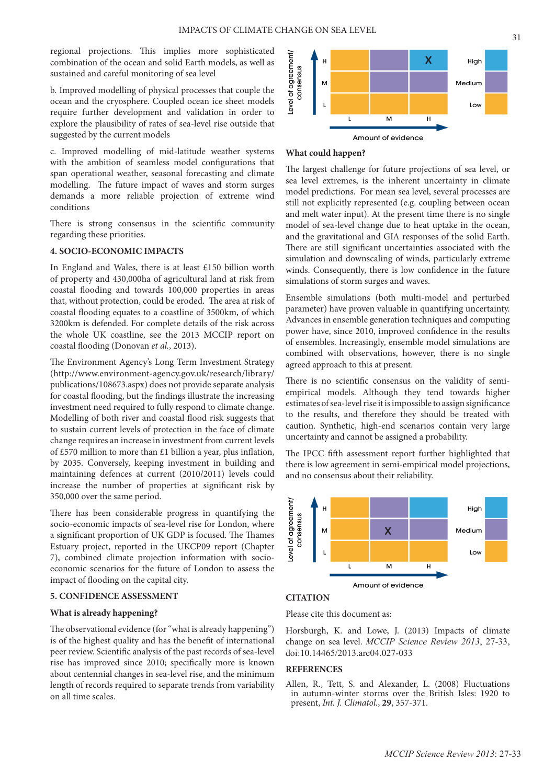regional projections. This implies more sophisticated combination of the ocean and solid Earth models, as well as sustained and careful monitoring of sea level

b. Improved modelling of physical processes that couple the ocean and the cryosphere. Coupled ocean ice sheet models require further development and validation in order to explore the plausibility of rates of sea-level rise outside that suggested by the current models

c. Improved modelling of mid-latitude weather systems with the ambition of seamless model configurations that span operational weather, seasonal forecasting and climate modelling. The future impact of waves and storm surges demands a more reliable projection of extreme wind conditions

There is strong consensus in the scientific community regarding these priorities.

# **4. SOCIO-ECONOMIC IMPACTS**

In England and Wales, there is at least £150 billion worth of property and 430,000ha of agricultural land at risk from coastal flooding and towards 100,000 properties in areas that, without protection, could be eroded. The area at risk of coastal flooding equates to a coastline of 3500km, of which 3200km is defended. For complete details of the risk across the whole UK coastline, see the 2013 MCCIP report on coastal flooding (Donovan *et al.*, 2013).

The Environment Agency's Long Term Investment Strategy (http://www.environment-agency.gov.uk/research/library/ publications/108673.aspx) does not provide separate analysis for coastal flooding, but the findings illustrate the increasing investment need required to fully respond to climate change. Modelling of both river and coastal flood risk suggests that to sustain current levels of protection in the face of climate change requires an increase in investment from current levels of £570 million to more than £1 billion a year, plus inflation, by 2035. Conversely, keeping investment in building and maintaining defences at current (2010/2011) levels could increase the number of properties at significant risk by 350,000 over the same period.

There has been considerable progress in quantifying the socio-economic impacts of sea-level rise for London, where a significant proportion of UK GDP is focused. The Thames Estuary project, reported in the UKCP09 report (Chapter 7), combined climate projection information with socioeconomic scenarios for the future of London to assess the impact of flooding on the capital city.

## **5. CONFIDENCE ASSESSMENT**

#### **What is already happening?**

The observational evidence (for "what is already happening") is of the highest quality and has the benefit of international peer review. Scientific analysis of the past records of sea-level rise has improved since 2010; specifically more is known about centennial changes in sea-level rise, and the minimum length of records required to separate trends from variability on all time scales.



#### **What could happen?**

The largest challenge for future projections of sea level, or sea level extremes, is the inherent uncertainty in climate model predictions. For mean sea level, several processes are still not explicitly represented (e.g. coupling between ocean and melt water input). At the present time there is no single model of sea-level change due to heat uptake in the ocean, and the gravitational and GIA responses of the solid Earth. There are still significant uncertainties associated with the simulation and downscaling of winds, particularly extreme winds. Consequently, there is low confidence in the future simulations of storm surges and waves.

Ensemble simulations (both multi-model and perturbed parameter) have proven valuable in quantifying uncertainty. Advances in ensemble generation techniques and computing power have, since 2010, improved confidence in the results of ensembles. Increasingly, ensemble model simulations are combined with observations, however, there is no single agreed approach to this at present.

There is no scientific consensus on the validity of semiempirical models. Although they tend towards higher estimates of sea-level rise it is impossible to assign significance to the results, and therefore they should be treated with caution. Synthetic, high-end scenarios contain very large uncertainty and cannot be assigned a probability.

The IPCC fifth assessment report further highlighted that there is low agreement in semi-empirical model projections, and no consensus about their reliability.



#### **CITATION**

Please cite this document as:

Horsburgh, K. and Lowe, J. (2013) Impacts of climate change on sea level. *MCCIP Science Review 2013*, 27-33, doi:10.14465/2013.arc04.027-033

## **REFERENCES**

Allen, R., Tett, S. and Alexander, L. (2008) Fluctuations in autumn-winter storms over the British Isles: 1920 to present, *Int. J. Climatol.*, **29**, 357-371.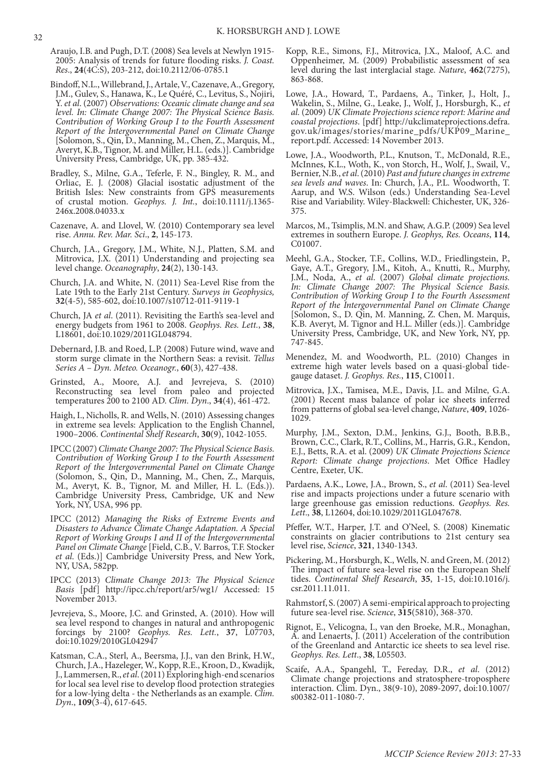- Araujo, I.B. and Pugh, D.T. (2008) Sea levels at Newlyn 1915- 2005: Analysis of trends for future flooding risks. *J. Coast. Res*., **24**(4C:S), 203-212, doi:10.2112/06-0785.1
- Bindoff, N.L., Willebrand, J., Artale, V., Cazenave, A., Gregory, J.M., Gulev, S., Hanawa, K., Le Quéré, C., Levitus, S., Nojiri, Y. *et al*. (2007) *Observations: Oceanic climate change and sea level. In: Climate Change 2007: The Physical Science Basis. Contribution of Working Group I to the Fourth Assessment Report of the Intergovernmental Panel on Climate Change* [Solomon, S., Qin, D., Manning, M., Chen, Z., Marquis, M., Averyt, K.B., Tignor, M. and Miller, H.L. (eds.)]. Cambridge University Press, Cambridge, UK, pp. 385-432.
- Bradley, S., Milne, G.A., Teferle, F. N., Bingley, R. M., and Orliac, E. J. (2008) Glacial isostatic adjustment of the British Isles: New constraints from GPS measurements of crustal motion. *Geophys. J. Int.*, doi:10.1111/j.1365- 246x.2008.04033.x
- Cazenave, A. and Llovel, W. (2010) Contemporary sea level rise. *Annu. Rev. Mar. Sci*., **2**, 145-173.
- Church, J.A., Gregory, J.M., White, N.J., Platten, S.M. and Mitrovica, J.X. (2011) Understanding and projecting sea level change. *Oceanography*, **24**(2), 130-143.
- Church, J.A. and White, N. (2011) Sea-Level Rise from the Late 19th to the Early 21st Century. *Surveys in Geophysics,* **32**(4-5), 585-602, doi:10.1007/s10712-011-9119-1
- Church, JA *et al*. (2011). Revisiting the Earth's sea-level and energy budgets from 1961 to 2008. *Geophys. Res. Lett.*, **38**, L18601, doi:10.1029/2011GL048794.
- Debernard, J.B. and Roed, L.P. (2008) Future wind, wave and storm surge climate in the Northern Seas: a revisit. *Tellus Series A – Dyn. Meteo. Oceanogr.*, **60**(3), 427-438.
- Grinsted, A., Moore, A.J. and Jevrejeva, S. (2010) Reconstructing sea level from paleo and projected temperatures 200 to 2100 AD. *Clim. Dyn*., **34**(4), 461-472.
- Haigh, I., Nicholls, R. and Wells, N. (2010) Assessing changes in extreme sea levels: Application to the English Channel, 1900–2006. *Continental Shelf Research*, **30**(9), 1042-1055.
- IPCC (2007) *Climate Change 2007: The Physical Science Basis. Contribution of Working Group I to the Fourth Assessment Report of the Intergovernmental Panel on Climate Change*  (Solomon, S., Qin, D., Manning, M., Chen, Z., Marquis, M., Averyt, K. B., Tignor, M. and Miller, H. L. (Eds.)). Cambridge University Press, Cambridge, UK and New York, NY, USA, 996 pp.
- IPCC (2012) *Managing the Risks of Extreme Events and Disasters to Advance Climate Change Adaptation. A Special Report of Working Groups I and II of the Intergovernmental Panel on Climate Change* [Field, C.B., V. Barros, T.F. Stocker *et al*. (Eds.)] Cambridge University Press, and New York, NY, USA, 582pp.
- IPCC (2013) *Climate Change 2013: The Physical Science Basis* [pdf] http://ipcc.ch/report/ar5/wg1/ Accessed: 15 November 2013.
- Jevrejeva, S., Moore, J.C. and Grinsted, A. (2010). How will sea level respond to changes in natural and anthropogenic forcings by 2100? *Geophys. Res. Lett.*, **37**, L07703, doi:10.1029/2010GL042947
- Katsman, C.A., Sterl, A., Beersma, J.J., van den Brink, H.W., Church, J.A., Hazeleger, W., Kopp, R.E., Kroon, D., Kwadijk, J., Lammersen, R., *et al*. (2011) Exploring high-end scenarios for local sea level rise to develop flood protection strategies for a low-lying delta - the Netherlands as an example. *Clim. Dyn*., **109**(3-4), 617-645.
- Kopp, R.E., Simons, F.J., Mitrovica, J.X., Maloof, A.C. and Oppenheimer, M. (2009) Probabilistic assessment of sea level during the last interglacial stage. *Nature*, **462**(7275), 863-868.
- Lowe, J.A., Howard, T., Pardaens, A., Tinker, J., Holt, J., Wakelin, S., Milne, G., Leake, J., Wolf, J., Horsburgh, K., *et al.* (2009) *UK Climate Projections science report: Marine and coastal projections*. [pdf] http://ukclimateprojections.defra. gov.uk/images/stories/marine\_pdfs/UKP09\_Marine\_ report.pdf. Accessed: 14 November 2013.
- Lowe, J.A., Woodworth, P.L., Knutson, T., McDonald, R.E., McInnes, K.L., Woth, K., von Storch, H., Wolf, J., Swail, V., Bernier, N.B., *et al*. (2010) *Past and future changes in extreme sea levels and waves*. In: Church, J.A., P.L. Woodworth, T. Aarup, and W.S. Wilson (eds.) Understanding Sea-Level Rise and Variability. Wiley-Blackwell: Chichester, UK, 326- 375.
- Marcos, M., Tsimplis, M.N. and Shaw, A.G.P. (2009) Sea level extremes in southern Europe. *J. Geophys, Res. Oceans*, **114**, C01007.
- Meehl, G.A., Stocker, T.F., Collins, W.D., Friedlingstein, P., Gaye, A.T., Gregory, J.M., Kitoh, A., Knutti, R., Murphy, J.M., Noda, A., *et al*. (2007) *Global climate projections. In: Climate Change 2007: The Physical Science Basis. Contribution of Working Group I to the Fourth Assessment Report of the Intergovernmental Panel on Climate Change* [Solomon, S., D. Qin, M. Manning, Z. Chen, M. Marquis, K.B. Averyt, M. Tignor and H.L. Miller (eds.)]. Cambridge University Press, Cambridge, UK, and New York, NY, pp. 747-845.
- Menendez, M. and Woodworth, P.L. (2010) Changes in extreme high water levels based on a quasi-global tidegauge dataset. *J. Geophys. Res.*, **115**, C10011.
- Mitrovica, J.X., Tamisea, M.E., Davis, J.L. and Milne, G.A. (2001) Recent mass balance of polar ice sheets inferred from patterns of global sea-level change, *Nature*, **409**, 1026- 1029.
- Murphy, J.M., Sexton, D.M., Jenkins, G.J., Booth, B.B.B., Brown, C.C., Clark, R.T., Collins, M., Harris, G.R., Kendon, E.J., Betts, R.A. et al. (2009) *UK Climate Projections Science Report: Climate change projections*. Met Office Hadley Centre, Exeter, UK.
- Pardaens, A.K., Lowe, J.A., Brown, S., *et al*. (2011) Sea-level rise and impacts projections under a future scenario with large greenhouse gas emission reductions. *Geophys. Res. Lett*., **38**, L12604, doi:10.1029/2011GL047678.
- Pfeffer, W.T., Harper, J.T. and O'Neel, S. (2008) Kinematic constraints on glacier contributions to 21st century sea level rise, *Science*, **321**, 1340-1343.
- Pickering, M., Horsburgh, K., Wells, N. and Green, M. (2012) The impact of future sea-level rise on the European Shelf tides. *Continental Shelf Research*, **35**, 1-15, doi:10.1016/j. csr.2011.11.011.
- Rahmstorf, S. (2007) A semi-empirical approach to projecting future sea-level rise. *Science*, **315**(5810), 368-370.
- Rignot, E., Velicogna, I., van den Broeke, M.R., Monaghan, A. and Lenaerts, J. (2011) Acceleration of the contribution of the Greenland and Antarctic ice sheets to sea level rise. *Geophys. Res. Lett*., **38**, L05503.
- Scaife, A.A., Spangehl, T., Fereday, D.R., *et al*. (2012) Climate change projections and stratosphere-troposphere interaction. Clim. Dyn., 38(9-10), 2089-2097, doi:10.1007/ s00382-011-1080-7.